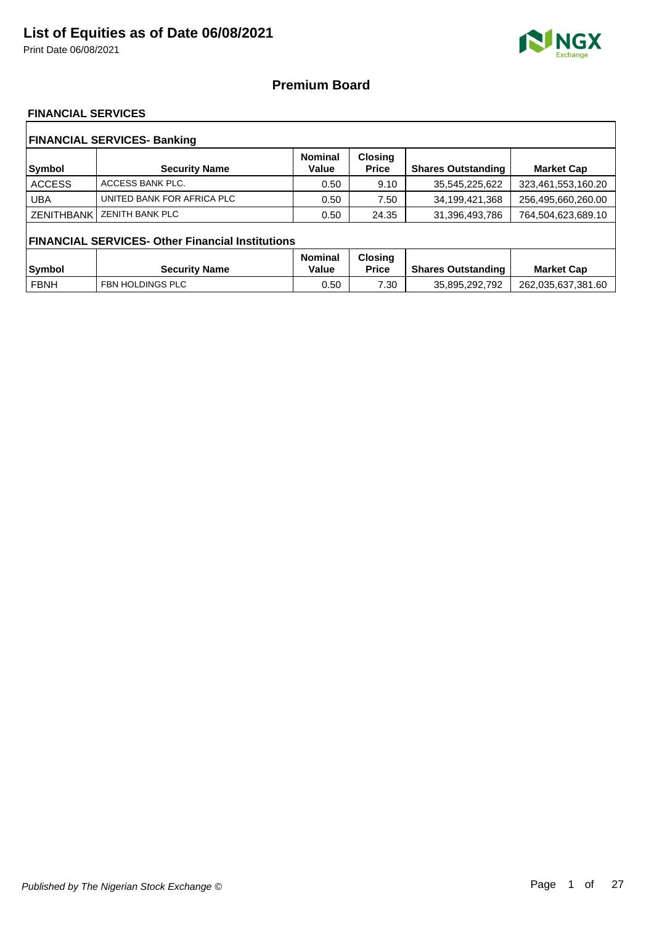Print Date 06/08/2021



### **Premium Board**

### **FINANCIAL SERVICES**

| <b>FINANCIAL SERVICES- Banking</b> |                                                         |                         |                                |                           |                    |  |  |
|------------------------------------|---------------------------------------------------------|-------------------------|--------------------------------|---------------------------|--------------------|--|--|
| <b>Symbol</b>                      | <b>Security Name</b>                                    | <b>Nominal</b><br>Value | <b>Closing</b><br><b>Price</b> | <b>Shares Outstanding</b> | <b>Market Cap</b>  |  |  |
| <b>ACCESS</b>                      | ACCESS BANK PLC.                                        | 0.50                    | 9.10                           | 35,545,225,622            | 323,461,553,160.20 |  |  |
| <b>UBA</b>                         | UNITED BANK FOR AFRICA PLC                              | 0.50                    | 7.50                           | 34,199,421,368            | 256,495,660,260.00 |  |  |
| <b>ZENITHBANK</b>                  | <b>ZENITH BANK PLC</b>                                  | 0.50                    | 24.35                          | 31,396,493,786            | 764,504,623,689.10 |  |  |
|                                    | <b>FINANCIAL SERVICES- Other Financial Institutions</b> |                         |                                |                           |                    |  |  |
|                                    |                                                         | <b>Nominal</b>          | <b>Closing</b>                 |                           |                    |  |  |
| <b>Symbol</b>                      | <b>Security Name</b>                                    | Value                   | <b>Price</b>                   | <b>Shares Outstanding</b> | <b>Market Cap</b>  |  |  |
| <b>FBNH</b>                        | FBN HOLDINGS PLC                                        | 0.50                    | 7.30                           | 35,895,292,792            | 262,035,637,381.60 |  |  |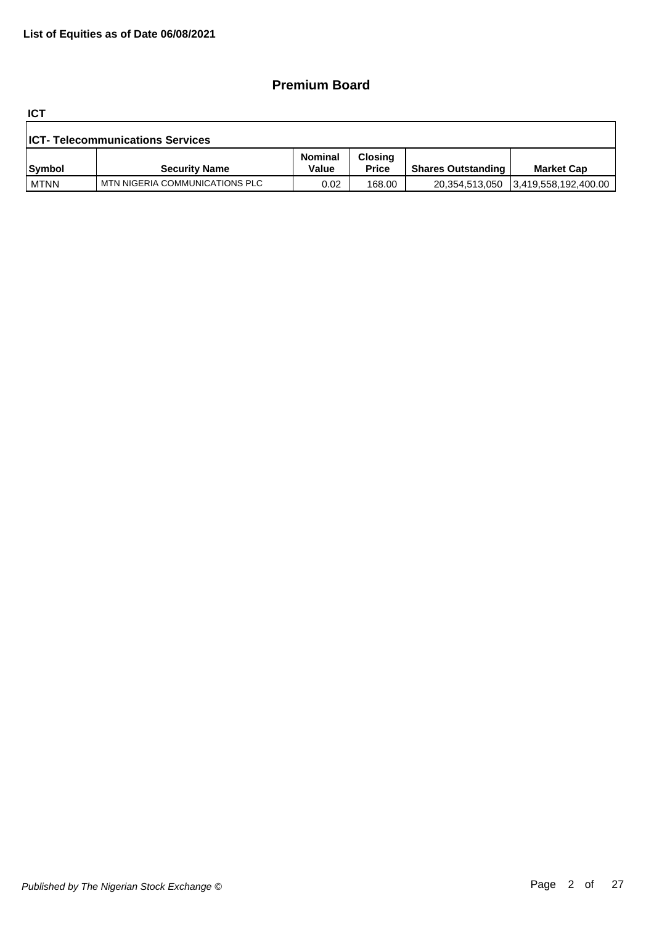### **Premium Board**

**ICT**

| <b>ICT- Telecommunications Services</b> |                                |                  |                                |                           |                      |  |  |
|-----------------------------------------|--------------------------------|------------------|--------------------------------|---------------------------|----------------------|--|--|
| Symbol                                  | <b>Security Name</b>           | Nominal<br>Value | <b>Closing</b><br><b>Price</b> | <b>Shares Outstanding</b> | <b>Market Cap</b>    |  |  |
| l MTNN                                  | MTN NIGERIA COMMUNICATIONS PLC | 0.02             | 168.00                         | 20,354,513,050            | 3,419,558,192,400.00 |  |  |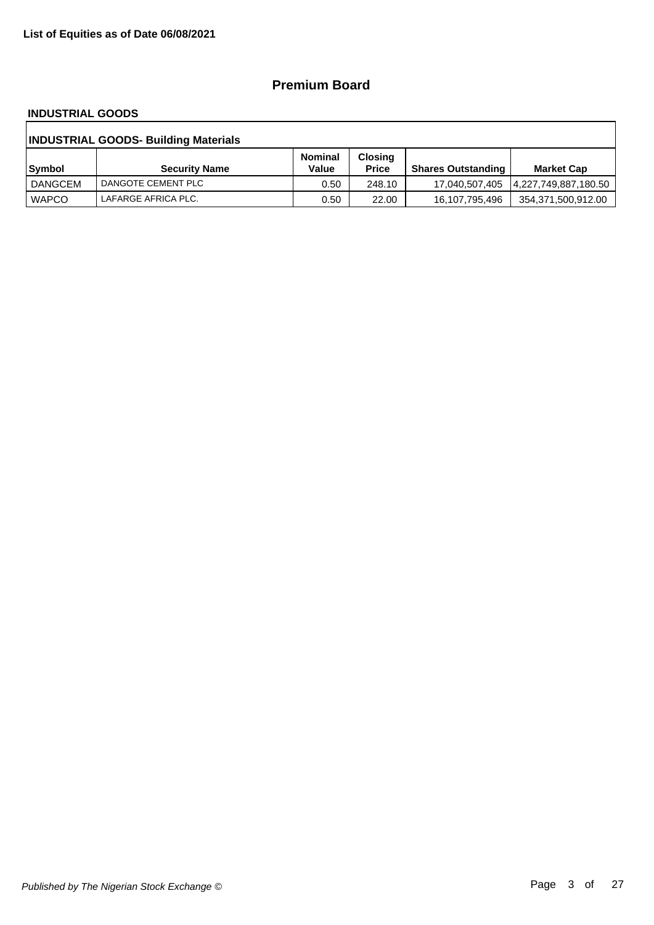### **Premium Board**

#### **INDUSTRIAL GOODS**

| <b>INDUSTRIAL GOODS- Building Materials</b> |                      |                         |                                |                           |                    |  |  |
|---------------------------------------------|----------------------|-------------------------|--------------------------------|---------------------------|--------------------|--|--|
| Symbol                                      | <b>Security Name</b> | <b>Nominal</b><br>Value | <b>Closing</b><br><b>Price</b> | <b>Shares Outstanding</b> | <b>Market Cap</b>  |  |  |
| DANGCEM                                     | DANGOTE CEMENT PLC   | 0.50                    | 248.10                         |                           |                    |  |  |
| <b>WAPCO</b>                                | LAFARGE AFRICA PLC.  | 0.50                    | 22.00                          | 16,107,795,496            | 354,371,500,912.00 |  |  |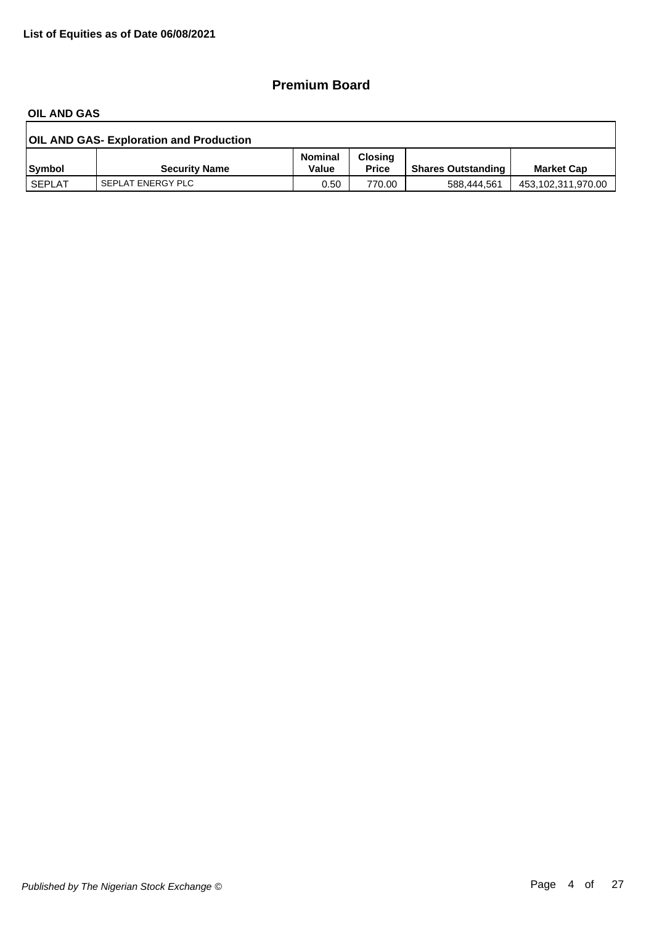### **Premium Board**

#### **OIL AND GAS**

| <b>OIL AND GAS- Exploration and Production</b> |                      |                         |                                |                           |                    |  |  |
|------------------------------------------------|----------------------|-------------------------|--------------------------------|---------------------------|--------------------|--|--|
| <b>Symbol</b>                                  | <b>Security Name</b> | <b>Nominal</b><br>Value | <b>Closing</b><br><b>Price</b> | <b>Shares Outstanding</b> | <b>Market Cap</b>  |  |  |
| <b>SEPLAT</b>                                  | SEPLAT ENERGY PLC    | 0.50                    | 770.00                         | 588.444.561               | 453,102,311,970.00 |  |  |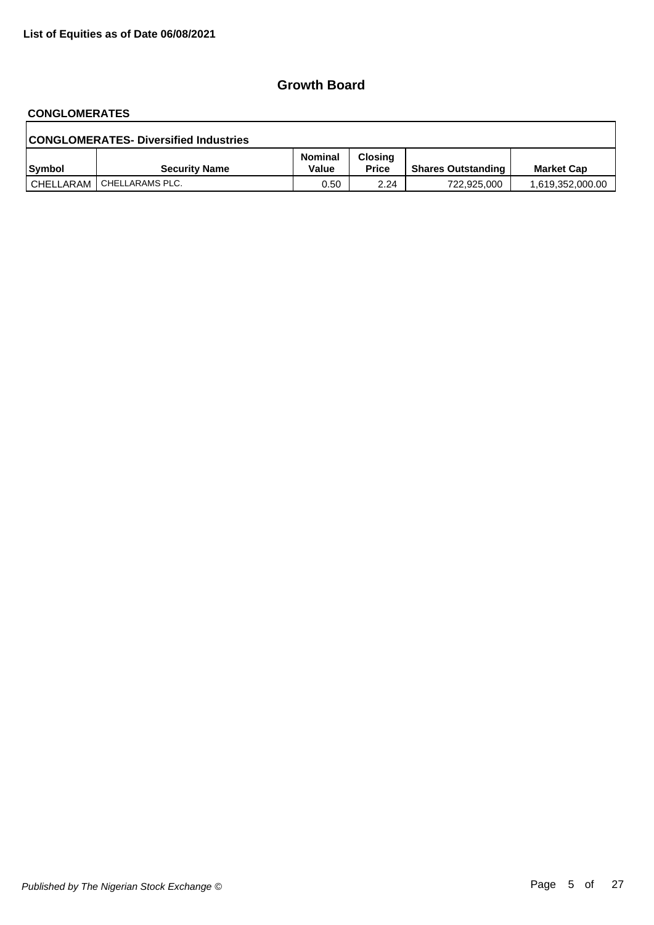# **CONGLOMERATES**

| <b>CONGLOMERATES- Diversified Industries</b> |                             |                         |                                |                           |                   |  |  |
|----------------------------------------------|-----------------------------|-------------------------|--------------------------------|---------------------------|-------------------|--|--|
| Symbol                                       | <b>Security Name</b>        | <b>Nominal</b><br>Value | <b>Closing</b><br><b>Price</b> | <b>Shares Outstanding</b> | <b>Market Cap</b> |  |  |
|                                              | CHELLARAM   CHELLARAMS PLC. | 0.50                    | 2.24                           | 722,925,000               | 1,619,352,000.00  |  |  |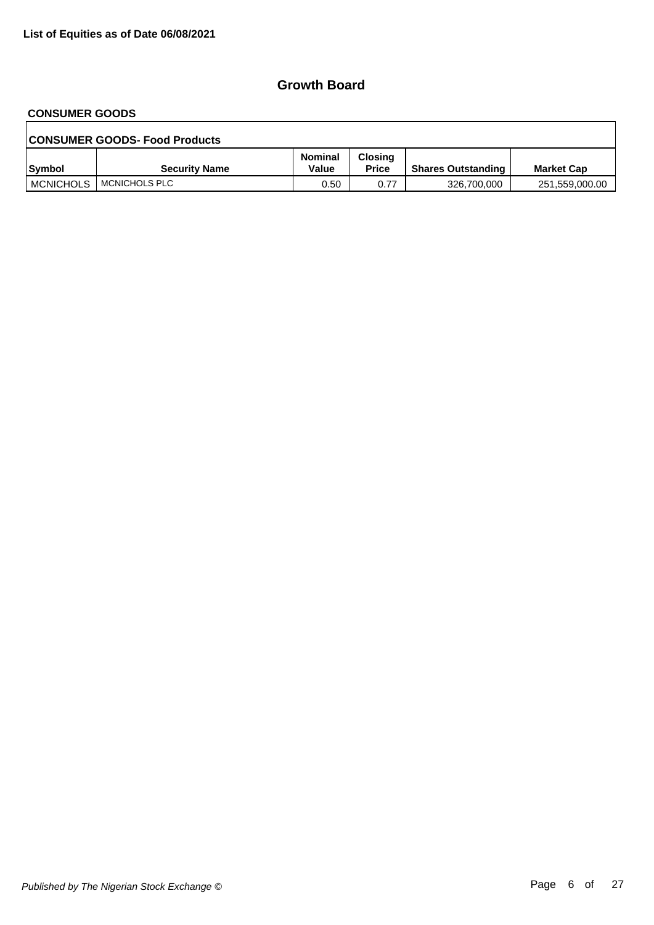## **CONSUMER GOODS**

| <b>CONSUMER GOODS- Food Products</b> |                      |                         |                                |                           |                   |  |  |  |
|--------------------------------------|----------------------|-------------------------|--------------------------------|---------------------------|-------------------|--|--|--|
| Symbol                               | <b>Security Name</b> | <b>Nominal</b><br>Value | <b>Closing</b><br><b>Price</b> | <b>Shares Outstanding</b> | <b>Market Cap</b> |  |  |  |
| <b>MCNICHOLS</b>                     | I MCNICHOLS PLC      | 0.50                    | 0.77                           | 326,700,000               | 251,559,000.00    |  |  |  |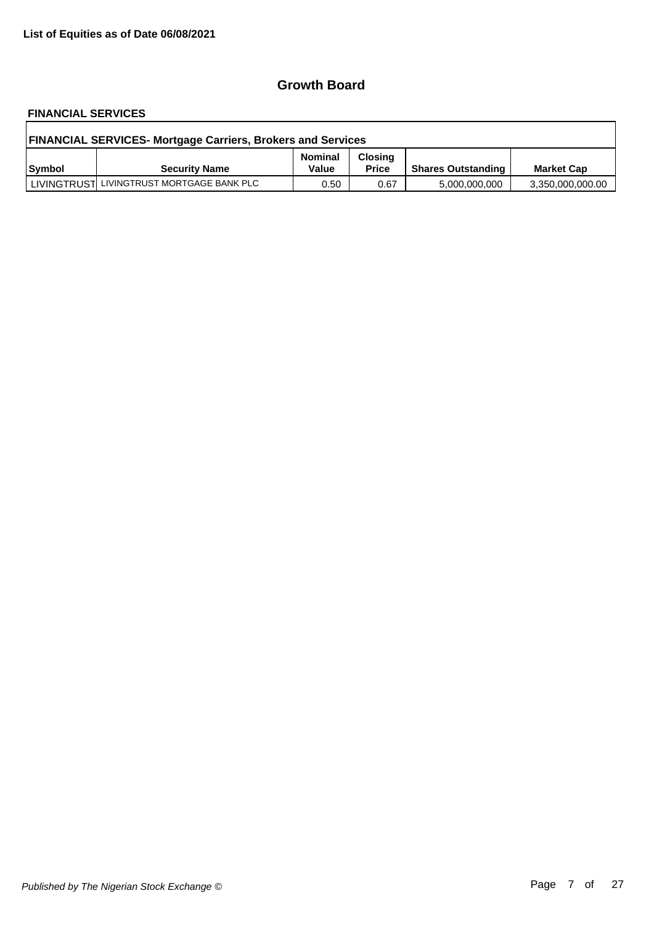# **FINANCIAL SERVICES**

| <b>FINANCIAL SERVICES- Mortgage Carriers, Brokers and Services</b> |                                           |                         |                                |                           |                   |  |  |
|--------------------------------------------------------------------|-------------------------------------------|-------------------------|--------------------------------|---------------------------|-------------------|--|--|
| <b>Symbol</b>                                                      | <b>Security Name</b>                      | <b>Nominal</b><br>Value | <b>Closing</b><br><b>Price</b> | <b>Shares Outstanding</b> | <b>Market Cap</b> |  |  |
|                                                                    | LIVINGTRUST LIVINGTRUST MORTGAGE BANK PLC | 0.50                    | 0.67                           | 5,000,000,000             | 3,350,000,000.00  |  |  |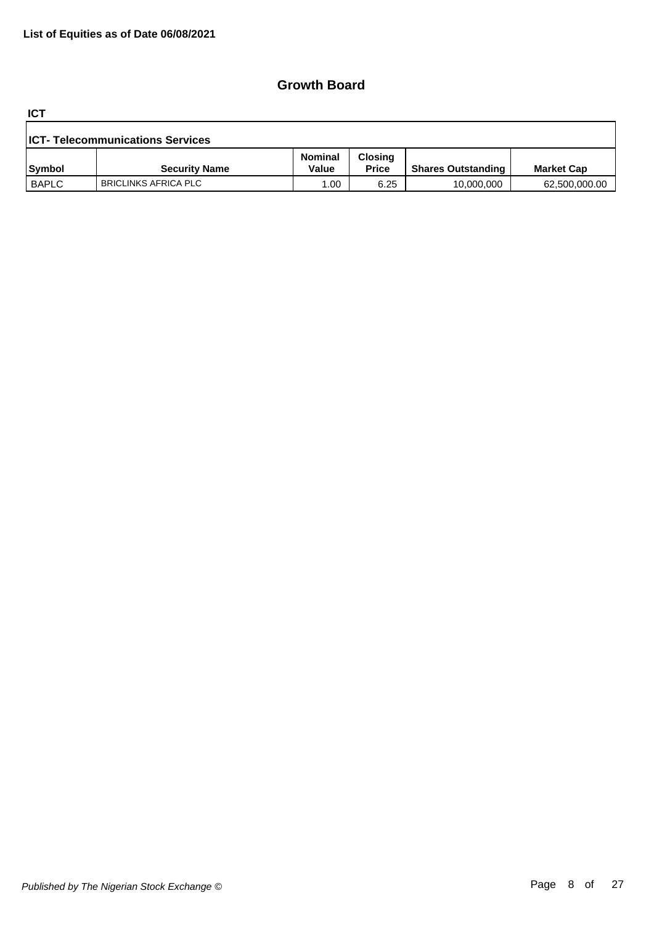**ICT**

| <b>ICT- Telecommunications Services</b> |                             |                         |                                |                           |                   |  |  |
|-----------------------------------------|-----------------------------|-------------------------|--------------------------------|---------------------------|-------------------|--|--|
| <b>Symbol</b>                           | <b>Security Name</b>        | <b>Nominal</b><br>Value | <b>Closing</b><br><b>Price</b> | <b>Shares Outstanding</b> | <b>Market Cap</b> |  |  |
| <b>BAPLC</b>                            | <b>BRICLINKS AFRICA PLC</b> | .00                     | 6.25                           | 10,000,000                | 62,500,000.00     |  |  |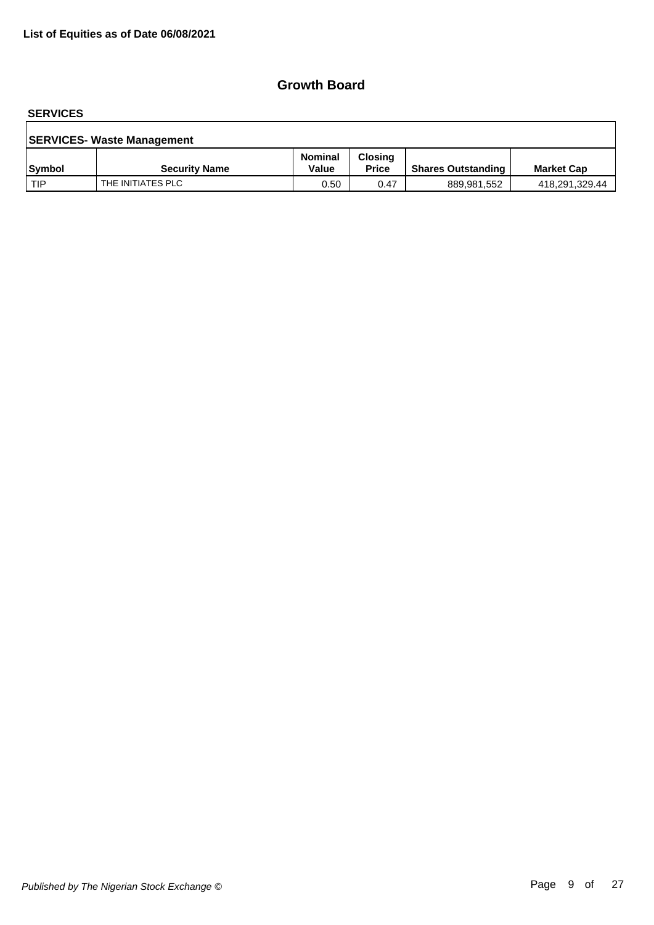#### **SERVICES**

| <b>SERVICES- Waste Management</b> |                      |                         |                                |                           |                   |  |  |  |
|-----------------------------------|----------------------|-------------------------|--------------------------------|---------------------------|-------------------|--|--|--|
| <b>Symbol</b>                     | <b>Security Name</b> | <b>Nominal</b><br>Value | <b>Closing</b><br><b>Price</b> | <b>Shares Outstanding</b> | <b>Market Cap</b> |  |  |  |
| l TIP                             | THE INITIATES PLC    | 0.50                    | 0.47                           | 889,981,552               | 418,291,329.44    |  |  |  |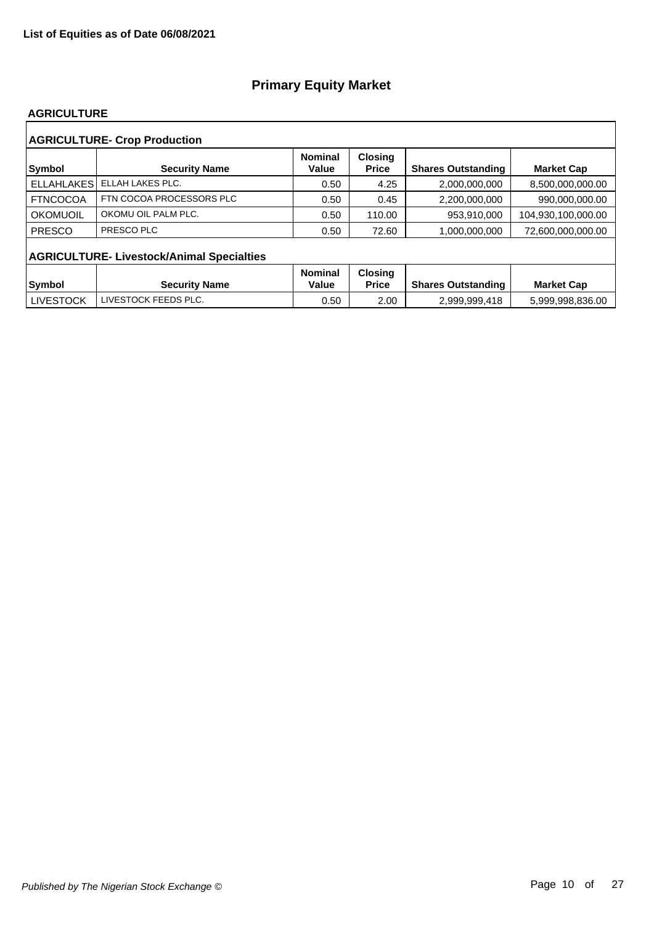#### **AGRICULTURE**

| <b>AGRICULTURE- Crop Production</b> |                                                  |                         |                                |                           |                    |  |  |  |  |
|-------------------------------------|--------------------------------------------------|-------------------------|--------------------------------|---------------------------|--------------------|--|--|--|--|
| <b>Symbol</b>                       | <b>Security Name</b>                             | <b>Nominal</b><br>Value | <b>Closing</b><br><b>Price</b> | <b>Shares Outstanding</b> | <b>Market Cap</b>  |  |  |  |  |
| <b>ELLAHLAKES</b>                   | ELLAH LAKES PLC.                                 | 0.50                    | 4.25                           | 2,000,000,000             | 8,500,000,000.00   |  |  |  |  |
| <b>FTNCOCOA</b>                     | FTN COCOA PROCESSORS PLC                         | 0.50                    | 0.45                           | 2,200,000,000             | 990,000,000.00     |  |  |  |  |
| OKOMUOIL                            | OKOMU OIL PALM PLC.                              | 0.50                    | 110.00                         | 953,910,000               | 104,930,100,000.00 |  |  |  |  |
| <b>PRESCO</b>                       | PRESCO PLC                                       | 0.50                    | 72.60                          | 1.000.000.000             | 72.600.000.000.00  |  |  |  |  |
|                                     | <b>AGRICULTURE- Livestock/Animal Specialties</b> |                         |                                |                           |                    |  |  |  |  |
|                                     |                                                  | <b>Nominal</b>          | <b>Closing</b>                 |                           |                    |  |  |  |  |
| <b>Symbol</b>                       | <b>Security Name</b>                             | Value                   | <b>Price</b>                   | <b>Shares Outstanding</b> | <b>Market Cap</b>  |  |  |  |  |
| <b>LIVESTOCK</b>                    | LIVESTOCK FEEDS PLC.                             | 0.50                    | 2.00                           | 2,999,999,418             | 5,999,998,836.00   |  |  |  |  |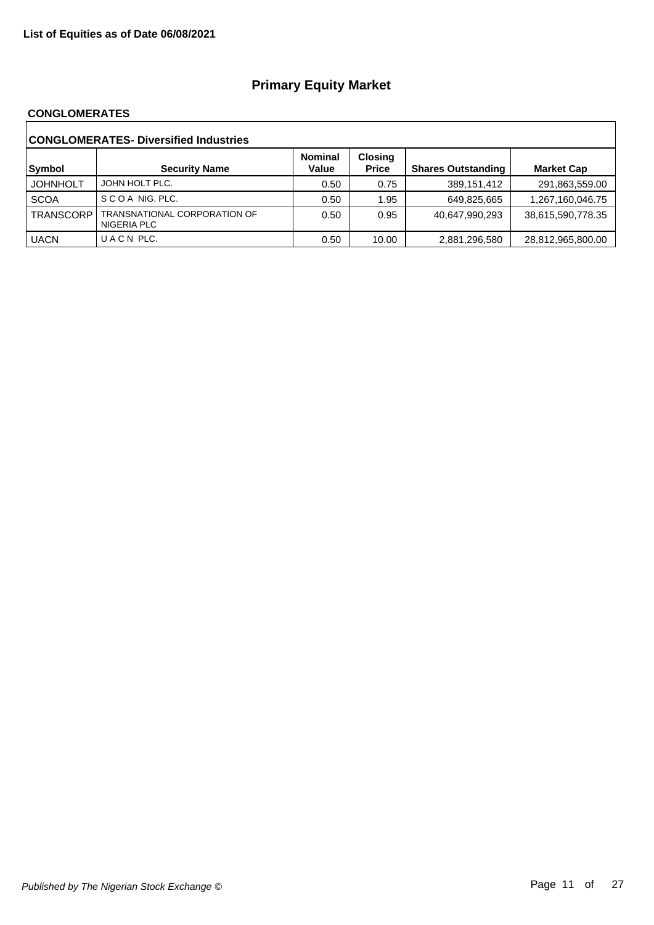#### **CONGLOMERATES**

| <b>CONGLOMERATES- Diversified Industries</b> |                                             |                         |                                |                           |                   |  |  |  |
|----------------------------------------------|---------------------------------------------|-------------------------|--------------------------------|---------------------------|-------------------|--|--|--|
| Symbol                                       | <b>Security Name</b>                        | <b>Nominal</b><br>Value | <b>Closing</b><br><b>Price</b> | <b>Shares Outstanding</b> | <b>Market Cap</b> |  |  |  |
| <b>JOHNHOLT</b>                              | JOHN HOLT PLC.                              | 0.50                    | 0.75                           | 389,151,412               | 291,863,559.00    |  |  |  |
| <b>SCOA</b>                                  | SCOA NIG. PLC.                              | 0.50                    | 1.95                           | 649,825,665               | 1,267,160,046.75  |  |  |  |
| <b>TRANSCORP</b>                             | TRANSNATIONAL CORPORATION OF<br>NIGERIA PLC | 0.50                    | 0.95                           | 40,647,990,293            | 38,615,590,778.35 |  |  |  |
| <b>UACN</b>                                  | UACN PLC.                                   | 0.50                    | 10.00                          | 2,881,296,580             | 28,812,965,800.00 |  |  |  |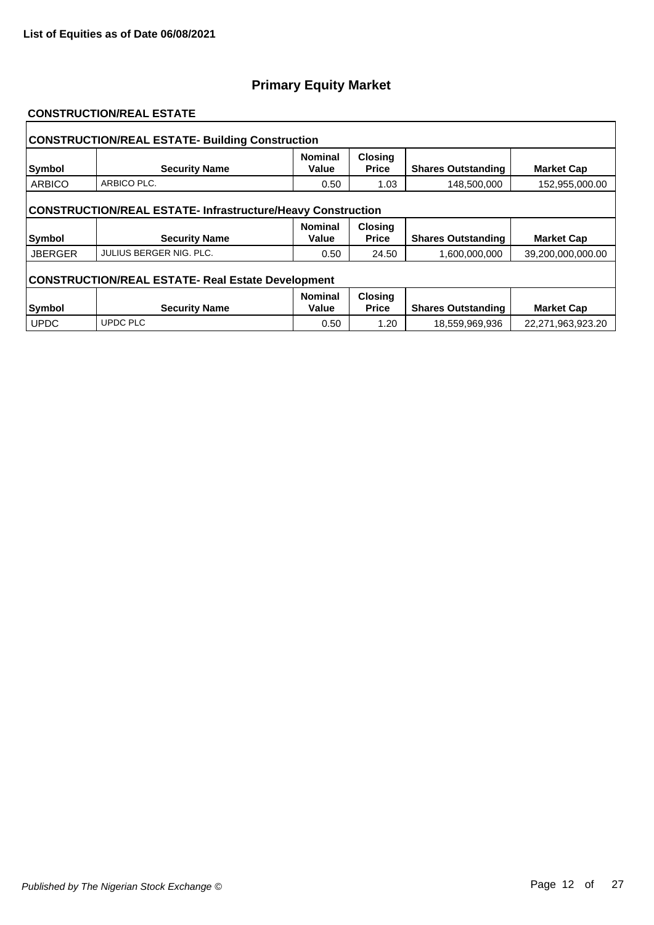#### **CONSTRUCTION/REAL ESTATE**

| <b>CONSTRUCTION/REAL ESTATE- Building Construction</b>             |                         |                         |                                |                           |                   |  |  |
|--------------------------------------------------------------------|-------------------------|-------------------------|--------------------------------|---------------------------|-------------------|--|--|
| Symbol                                                             | <b>Security Name</b>    | <b>Nominal</b><br>Value | <b>Closing</b><br><b>Price</b> | <b>Shares Outstanding</b> | <b>Market Cap</b> |  |  |
| <b>ARBICO</b>                                                      | ARBICO PLC.             | 0.50                    | 1.03                           | 148,500,000               | 152,955,000.00    |  |  |
| <b>CONSTRUCTION/REAL ESTATE- Infrastructure/Heavy Construction</b> |                         |                         |                                |                           |                   |  |  |
| <b>Symbol</b>                                                      | <b>Security Name</b>    | <b>Nominal</b><br>Value | <b>Closing</b><br><b>Price</b> | <b>Shares Outstanding</b> | <b>Market Cap</b> |  |  |
| <b>JBERGER</b>                                                     | JULIUS BERGER NIG. PLC. | 0.50                    | 24.50                          | 1,600,000,000             | 39,200,000,000.00 |  |  |
| <b>CONSTRUCTION/REAL ESTATE- Real Estate Development</b>           |                         |                         |                                |                           |                   |  |  |
|                                                                    |                         | <b>Nominal</b>          | <b>Closing</b>                 |                           |                   |  |  |
| Symbol                                                             | <b>Security Name</b>    | Value                   | <b>Price</b>                   | <b>Shares Outstanding</b> | <b>Market Cap</b> |  |  |
| <b>UPDC</b>                                                        | <b>UPDC PLC</b>         | 0.50                    | 1.20                           | 18,559,969,936            | 22,271,963,923.20 |  |  |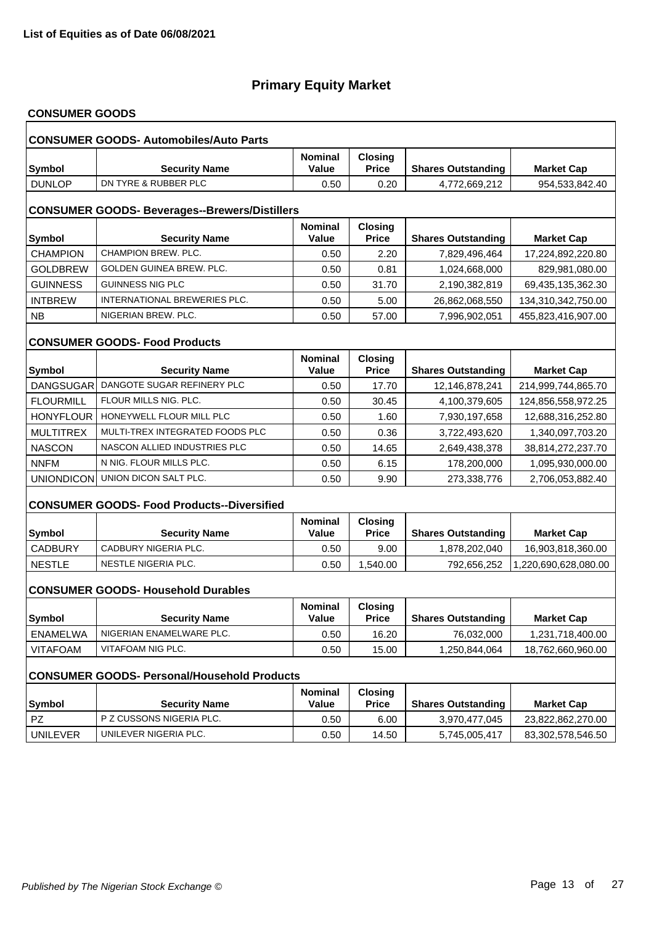# **CONSUMER GOODS**

| <b>CONSUMER GOODS- Automobiles/Auto Parts</b>        |                                                    |                                |                                |                           |                      |  |  |  |
|------------------------------------------------------|----------------------------------------------------|--------------------------------|--------------------------------|---------------------------|----------------------|--|--|--|
| <b>Symbol</b>                                        | <b>Security Name</b>                               | <b>Nominal</b><br>Value        | <b>Closing</b><br><b>Price</b> | <b>Shares Outstanding</b> | <b>Market Cap</b>    |  |  |  |
| <b>DUNLOP</b>                                        | DN TYRE & RUBBER PLC                               | 0.50                           | 0.20                           | 4,772,669,212             | 954,533,842.40       |  |  |  |
| <b>CONSUMER GOODS- Beverages--Brewers/Distillers</b> |                                                    |                                |                                |                           |                      |  |  |  |
| <b>Symbol</b>                                        | <b>Security Name</b>                               | <b>Nominal</b><br>Value        | <b>Closing</b><br><b>Price</b> | <b>Shares Outstanding</b> | <b>Market Cap</b>    |  |  |  |
| <b>CHAMPION</b>                                      | CHAMPION BREW, PLC.                                | 0.50                           | 2.20                           | 7,829,496,464             | 17,224,892,220.80    |  |  |  |
| <b>GOLDBREW</b>                                      | GOLDEN GUINEA BREW. PLC.                           | 0.50                           | 0.81                           | 1,024,668,000             | 829,981,080.00       |  |  |  |
| <b>GUINNESS</b>                                      | <b>GUINNESS NIG PLC</b>                            | 0.50                           | 31.70                          | 2,190,382,819             | 69,435,135,362.30    |  |  |  |
| <b>INTBREW</b>                                       | INTERNATIONAL BREWERIES PLC.                       | 0.50                           | 5.00                           | 26,862,068,550            | 134,310,342,750.00   |  |  |  |
| <b>NB</b>                                            | NIGERIAN BREW. PLC.                                | 0.50                           | 57.00                          | 7,996,902,051             | 455,823,416,907.00   |  |  |  |
|                                                      | <b>CONSUMER GOODS- Food Products</b>               |                                |                                |                           |                      |  |  |  |
| <b>Symbol</b>                                        | <b>Security Name</b>                               | <b>Nominal</b><br><b>Value</b> | <b>Closing</b><br><b>Price</b> | <b>Shares Outstanding</b> | <b>Market Cap</b>    |  |  |  |
| <b>DANGSUGAR</b>                                     | DANGOTE SUGAR REFINERY PLC                         | 0.50                           | 17.70                          | 12,146,878,241            | 214,999,744,865.70   |  |  |  |
| <b>FLOURMILL</b>                                     | FLOUR MILLS NIG. PLC.                              | 0.50                           | 30.45                          | 4,100,379,605             | 124,856,558,972.25   |  |  |  |
| <b>HONYFLOUR</b>                                     | HONEYWELL FLOUR MILL PLC                           | 0.50                           | 1.60                           | 7,930,197,658             | 12,688,316,252.80    |  |  |  |
| <b>MULTITREX</b>                                     | MULTI-TREX INTEGRATED FOODS PLC                    | 0.50                           | 0.36                           | 3,722,493,620             | 1,340,097,703.20     |  |  |  |
| <b>NASCON</b>                                        | NASCON ALLIED INDUSTRIES PLC                       | 0.50                           | 14.65                          | 2,649,438,378             | 38,814,272,237.70    |  |  |  |
| <b>NNFM</b>                                          | N NIG. FLOUR MILLS PLC.                            | 0.50                           | 6.15                           | 178,200,000               | 1,095,930,000.00     |  |  |  |
| UNIONDICON                                           | UNION DICON SALT PLC.                              | 0.50                           | 9.90                           | 273,338,776               | 2,706,053,882.40     |  |  |  |
|                                                      | <b>CONSUMER GOODS- Food Products--Diversified</b>  |                                |                                |                           |                      |  |  |  |
| <b>Symbol</b>                                        | <b>Security Name</b>                               | <b>Nominal</b><br>Value        | <b>Closing</b><br><b>Price</b> | <b>Shares Outstanding</b> | <b>Market Cap</b>    |  |  |  |
| <b>CADBURY</b>                                       | CADBURY NIGERIA PLC.                               | 0.50                           | 9.00                           | 1,878,202,040             | 16,903,818,360.00    |  |  |  |
| <b>NESTLE</b>                                        | NESTLE NIGERIA PLC.                                | 0.50                           | 1,540.00                       | 792,656,252               | 1,220,690,628,080.00 |  |  |  |
|                                                      | <b>CONSUMER GOODS- Household Durables</b>          |                                |                                |                           |                      |  |  |  |
| Symbol                                               | <b>Security Name</b>                               | <b>Nominal</b><br><b>Value</b> | <b>Closing</b><br><b>Price</b> | <b>Shares Outstanding</b> | <b>Market Cap</b>    |  |  |  |
| <b>ENAMELWA</b>                                      | NIGERIAN ENAMELWARE PLC.                           | 0.50                           | 16.20                          | 76,032,000                | 1,231,718,400.00     |  |  |  |
| <b>VITAFOAM</b>                                      | VITAFOAM NIG PLC.                                  | 0.50                           | 15.00                          | 1,250,844,064             | 18,762,660,960.00    |  |  |  |
|                                                      | <b>CONSUMER GOODS- Personal/Household Products</b> |                                |                                |                           |                      |  |  |  |
| <b>Symbol</b>                                        | <b>Security Name</b>                               | Nominal<br>Value               | <b>Closing</b><br><b>Price</b> | <b>Shares Outstanding</b> | <b>Market Cap</b>    |  |  |  |
| PZ                                                   | P Z CUSSONS NIGERIA PLC.                           | 0.50                           | 6.00                           | 3,970,477,045             | 23,822,862,270.00    |  |  |  |
| <b>UNILEVER</b>                                      | UNILEVER NIGERIA PLC.                              | 0.50                           | 14.50                          | 5,745,005,417             | 83,302,578,546.50    |  |  |  |
|                                                      |                                                    |                                |                                |                           |                      |  |  |  |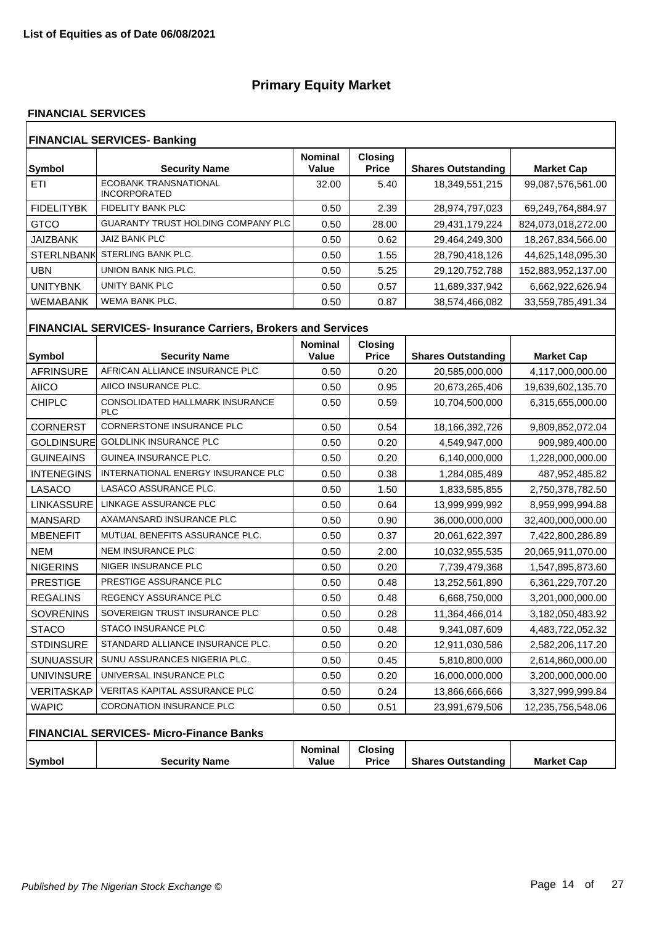#### **FINANCIAL SERVICES**

| <b>FINANCIAL SERVICES- Banking</b> |                                                     |                         |                                |                           |                    |  |  |
|------------------------------------|-----------------------------------------------------|-------------------------|--------------------------------|---------------------------|--------------------|--|--|
| Symbol                             | <b>Security Name</b>                                | <b>Nominal</b><br>Value | <b>Closing</b><br><b>Price</b> | <b>Shares Outstanding</b> | <b>Market Cap</b>  |  |  |
| ETI                                | <b>ECOBANK TRANSNATIONAL</b><br><b>INCORPORATED</b> | 32.00                   | 5.40                           | 18,349,551,215            | 99,087,576,561.00  |  |  |
| <b>FIDELITYBK</b>                  | FIDELITY BANK PLC                                   | 0.50                    | 2.39                           | 28,974,797,023            | 69,249,764,884.97  |  |  |
| <b>GTCO</b>                        | <b>GUARANTY TRUST HOLDING COMPANY PLC</b>           | 0.50                    | 28.00                          | 29,431,179,224            | 824,073,018,272.00 |  |  |
| <b>JAIZBANK</b>                    | JAIZ BANK PLC                                       | 0.50                    | 0.62                           | 29.464.249.300            | 18.267.834.566.00  |  |  |
| <b>STERLNBANK</b>                  | STERLING BANK PLC.                                  | 0.50                    | 1.55                           | 28,790,418,126            | 44,625,148,095.30  |  |  |
| UBN                                | UNION BANK NIG.PLC.                                 | 0.50                    | 5.25                           | 29,120,752,788            | 152,883,952,137.00 |  |  |
| UNITYBNK                           | UNITY BANK PLC                                      | 0.50                    | 0.57                           | 11,689,337,942            | 6,662,922,626.94   |  |  |
| <b>WEMABANK</b>                    | <b>WEMA BANK PLC.</b>                               | 0.50                    | 0.87                           | 38,574,466,082            | 33,559,785,491.34  |  |  |
|                                    |                                                     |                         |                                |                           |                    |  |  |

# **FINANCIAL SERVICES- Insurance Carriers, Brokers and Services**

| <b>Symbol</b>     | <b>Security Name</b>                                 | <b>Nominal</b><br>Value | <b>Closing</b><br><b>Price</b> | <b>Shares Outstanding</b> | <b>Market Cap</b> |
|-------------------|------------------------------------------------------|-------------------------|--------------------------------|---------------------------|-------------------|
| <b>AFRINSURE</b>  | AFRICAN ALLIANCE INSURANCE PLC                       | 0.50                    | 0.20                           | 20,585,000,000            | 4,117,000,000.00  |
| <b>AIICO</b>      | AIICO INSURANCE PLC.                                 | 0.50                    | 0.95                           | 20,673,265,406            | 19,639,602,135.70 |
| <b>CHIPLC</b>     | <b>CONSOLIDATED HALLMARK INSURANCE</b><br><b>PLC</b> | 0.50                    | 0.59                           | 10,704,500,000            | 6,315,655,000.00  |
| <b>CORNERST</b>   | <b>CORNERSTONE INSURANCE PLC</b>                     | 0.50                    | 0.54                           | 18,166,392,726            | 9,809,852,072.04  |
| <b>GOLDINSURE</b> | <b>GOLDLINK INSURANCE PLC</b>                        | 0.50                    | 0.20                           | 4,549,947,000             | 909,989,400.00    |
| <b>GUINEAINS</b>  | <b>GUINEA INSURANCE PLC.</b>                         | 0.50                    | 0.20                           | 6,140,000,000             | 1,228,000,000.00  |
| <b>INTENEGINS</b> | INTERNATIONAL ENERGY INSURANCE PLC                   | 0.50                    | 0.38                           | 1,284,085,489             | 487,952,485.82    |
| LASACO            | LASACO ASSURANCE PLC.                                | 0.50                    | 1.50                           | 1,833,585,855             | 2,750,378,782.50  |
| LINKASSURE        | LINKAGE ASSURANCE PLC                                | 0.50                    | 0.64                           | 13,999,999,992            | 8,959,999,994.88  |
| <b>MANSARD</b>    | AXAMANSARD INSURANCE PLC                             | 0.50                    | 0.90                           | 36,000,000,000            | 32,400,000,000.00 |
| <b>MBENEFIT</b>   | MUTUAL BENEFITS ASSURANCE PLC.                       | 0.50                    | 0.37                           | 20,061,622,397            | 7,422,800,286.89  |
| <b>NEM</b>        | <b>NEM INSURANCE PLC</b>                             | 0.50                    | 2.00                           | 10,032,955,535            | 20,065,911,070.00 |
| <b>NIGERINS</b>   | NIGER INSURANCE PLC                                  | 0.50                    | 0.20                           | 7,739,479,368             | 1,547,895,873.60  |
| <b>PRESTIGE</b>   | PRESTIGE ASSURANCE PLC                               | 0.50                    | 0.48                           | 13,252,561,890            | 6,361,229,707.20  |
| <b>REGALINS</b>   | <b>REGENCY ASSURANCE PLC</b>                         | 0.50                    | 0.48                           | 6,668,750,000             | 3,201,000,000.00  |
| <b>SOVRENINS</b>  | SOVEREIGN TRUST INSURANCE PLC                        | 0.50                    | 0.28                           | 11,364,466,014            | 3,182,050,483.92  |
| <b>STACO</b>      | <b>STACO INSURANCE PLC</b>                           | 0.50                    | 0.48                           | 9,341,087,609             | 4,483,722,052.32  |
| <b>STDINSURE</b>  | STANDARD ALLIANCE INSURANCE PLC.                     | 0.50                    | 0.20                           | 12,911,030,586            | 2,582,206,117.20  |
| <b>SUNUASSUR</b>  | SUNU ASSURANCES NIGERIA PLC.                         | 0.50                    | 0.45                           | 5,810,800,000             | 2,614,860,000.00  |
| <b>UNIVINSURE</b> | UNIVERSAL INSURANCE PLC                              | 0.50                    | 0.20                           | 16,000,000,000            | 3,200,000,000.00  |
| VERITASKAP        | <b>VERITAS KAPITAL ASSURANCE PLC</b>                 | 0.50                    | 0.24                           | 13,866,666,666            | 3,327,999,999.84  |
| <b>WAPIC</b>      | <b>CORONATION INSURANCE PLC</b>                      | 0.50                    | 0.51                           | 23,991,679,506            | 12,235,756,548.06 |
|                   | FINANCIAL SERVICES- Micro-Finance Banks              |                         |                                |                           |                   |
| Symbol            | <b>Security Name</b>                                 | <b>Nominal</b><br>Value | <b>Closing</b><br><b>Price</b> | <b>Shares Outstanding</b> | <b>Market Cap</b> |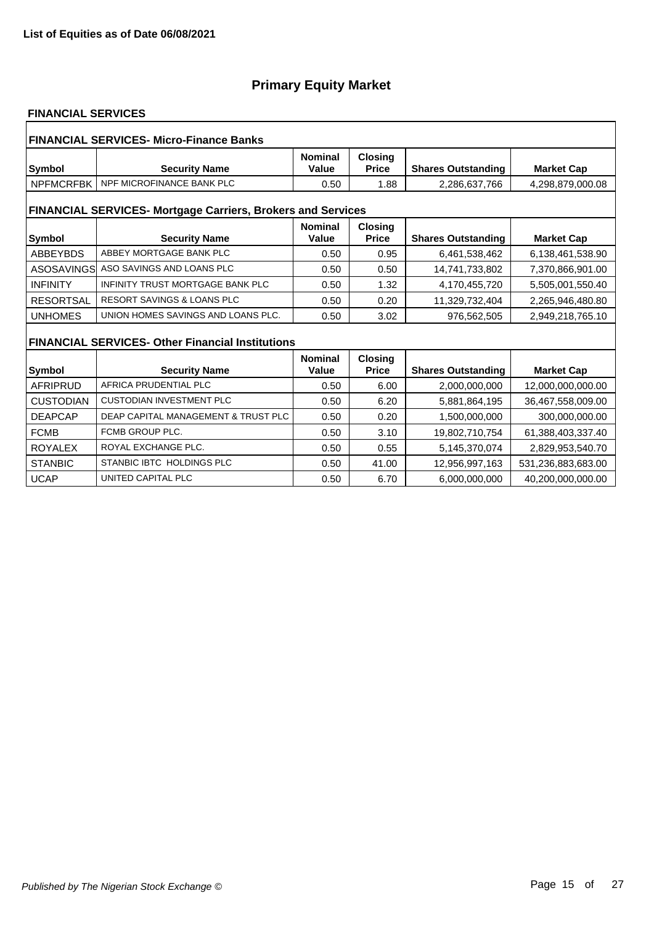#### **FINANCIAL SERVICES**

| <b>FINANCIAL SERVICES- Micro-Finance Banks</b> |                                                                    |                         |                                |                           |                    |  |  |
|------------------------------------------------|--------------------------------------------------------------------|-------------------------|--------------------------------|---------------------------|--------------------|--|--|
| Symbol                                         | <b>Security Name</b>                                               | <b>Nominal</b><br>Value | <b>Closing</b><br><b>Price</b> | <b>Shares Outstanding</b> | <b>Market Cap</b>  |  |  |
| <b>NPFMCRFBK</b>                               | NPF MICROFINANCE BANK PLC                                          | 0.50                    | 1.88                           | 2,286,637,766             | 4,298,879,000.08   |  |  |
|                                                | <b>FINANCIAL SERVICES- Mortgage Carriers, Brokers and Services</b> |                         |                                |                           |                    |  |  |
| Symbol                                         | <b>Security Name</b>                                               | <b>Nominal</b><br>Value | <b>Closing</b><br><b>Price</b> | <b>Shares Outstanding</b> | <b>Market Cap</b>  |  |  |
| <b>ABBEYBDS</b>                                | ABBEY MORTGAGE BANK PLC                                            | 0.50                    | 0.95                           | 6,461,538,462             | 6,138,461,538.90   |  |  |
| ASOSAVINGS                                     | ASO SAVINGS AND LOANS PLC                                          | 0.50                    | 0.50                           | 14,741,733,802            | 7,370,866,901.00   |  |  |
| <b>INFINITY</b>                                | INFINITY TRUST MORTGAGE BANK PLC                                   | 0.50                    | 1.32                           | 4,170,455,720             | 5,505,001,550.40   |  |  |
| <b>RESORTSAL</b>                               | <b>RESORT SAVINGS &amp; LOANS PLC</b>                              | 0.50                    | 0.20                           | 11,329,732,404            | 2,265,946,480.80   |  |  |
| <b>UNHOMES</b>                                 | UNION HOMES SAVINGS AND LOANS PLC.                                 | 0.50                    | 3.02                           | 976.562.505               | 2,949,218,765.10   |  |  |
|                                                | <b>FINANCIAL SERVICES- Other Financial Institutions</b>            |                         |                                |                           |                    |  |  |
|                                                |                                                                    | <b>Nominal</b>          | <b>Closing</b>                 |                           |                    |  |  |
| <b>Symbol</b>                                  | <b>Security Name</b>                                               | Value                   | <b>Price</b>                   | <b>Shares Outstanding</b> | <b>Market Cap</b>  |  |  |
| <b>AFRIPRUD</b>                                | AFRICA PRUDENTIAL PLC                                              | 0.50                    | 6.00                           | 2,000,000,000             | 12,000,000,000.00  |  |  |
| <b>CUSTODIAN</b>                               | <b>CUSTODIAN INVESTMENT PLC</b>                                    | 0.50                    | 6.20                           | 5,881,864,195             | 36,467,558,009.00  |  |  |
| <b>DEAPCAP</b>                                 | DEAP CAPITAL MANAGEMENT & TRUST PLC                                | 0.50                    | 0.20                           | 1,500,000,000             | 300,000,000.00     |  |  |
| <b>FCMB</b>                                    | FCMB GROUP PLC.                                                    | 0.50                    | 3.10                           | 19,802,710,754            | 61,388,403,337.40  |  |  |
| <b>ROYALEX</b>                                 | ROYAL EXCHANGE PLC.                                                | 0.50                    | 0.55                           | 5,145,370,074             | 2,829,953,540.70   |  |  |
| <b>STANBIC</b>                                 | STANBIC IBTC HOLDINGS PLC                                          | 0.50                    | 41.00                          | 12,956,997,163            | 531,236,883,683.00 |  |  |
| <b>UCAP</b>                                    | UNITED CAPITAL PLC                                                 | 0.50                    | 6.70                           | 6,000,000,000             | 40.200.000.000.00  |  |  |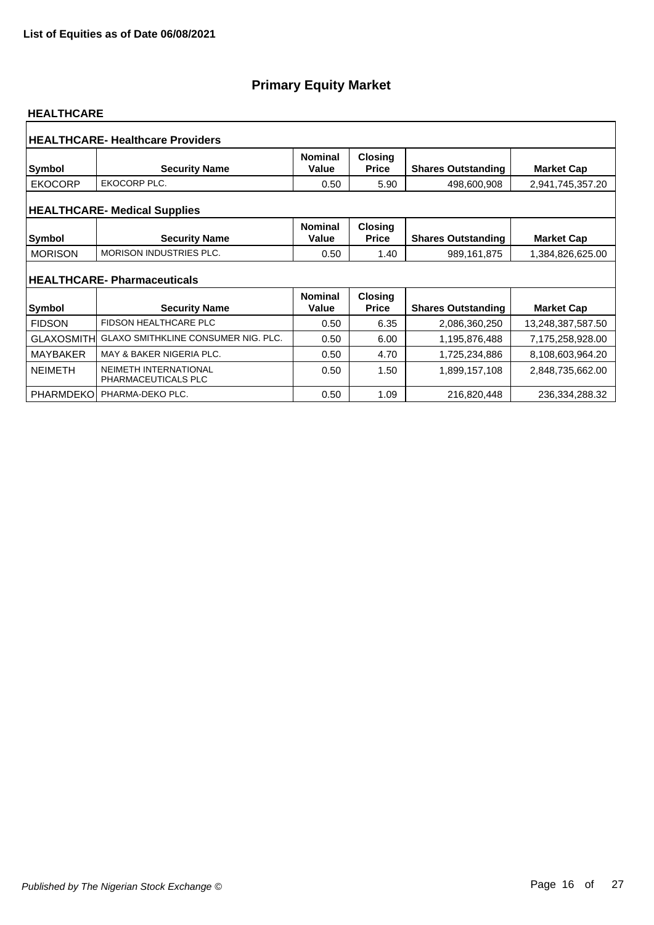#### **HEALTHCARE**

|                   | <b>HEALTHCARE- Healthcare Providers</b>                   |                         |                                |                           |                   |
|-------------------|-----------------------------------------------------------|-------------------------|--------------------------------|---------------------------|-------------------|
| <b>Symbol</b>     | <b>Security Name</b>                                      | <b>Nominal</b><br>Value | <b>Closing</b><br><b>Price</b> | <b>Shares Outstanding</b> | <b>Market Cap</b> |
| <b>EKOCORP</b>    | EKOCORP PLC.                                              | 0.50                    | 5.90                           | 498,600,908               | 2,941,745,357.20  |
|                   | <b>HEALTHCARE- Medical Supplies</b>                       |                         |                                |                           |                   |
| <b>Symbol</b>     | <b>Security Name</b>                                      | <b>Nominal</b><br>Value | <b>Closing</b><br><b>Price</b> | <b>Shares Outstanding</b> | <b>Market Cap</b> |
| <b>MORISON</b>    | <b>MORISON INDUSTRIES PLC.</b>                            | 0.50                    | 1.40                           | 989,161,875               | 1,384,826,625.00  |
| <b>Symbol</b>     | <b>HEALTHCARE-Pharmaceuticals</b><br><b>Security Name</b> | <b>Nominal</b><br>Value | <b>Closing</b><br><b>Price</b> | <b>Shares Outstanding</b> | <b>Market Cap</b> |
| <b>FIDSON</b>     | <b>FIDSON HEALTHCARE PLC</b>                              | 0.50                    | 6.35                           | 2,086,360,250             | 13,248,387,587.50 |
| <b>GLAXOSMITH</b> | GLAXO SMITHKLINE CONSUMER NIG. PLC.                       | 0.50                    | 6.00                           | 1,195,876,488             | 7,175,258,928.00  |
| <b>MAYBAKER</b>   | MAY & BAKER NIGERIA PLC.                                  | 0.50                    | 4.70                           | 1,725,234,886             | 8,108,603,964.20  |
| <b>NEIMETH</b>    | NEIMETH INTERNATIONAL<br>PHARMACEUTICALS PLC              | 0.50                    | 1.50                           | 1,899,157,108             | 2,848,735,662.00  |
| <b>PHARMDEKO</b>  | PHARMA-DEKO PLC.                                          | 0.50                    | 1.09                           | 216,820,448               | 236,334,288.32    |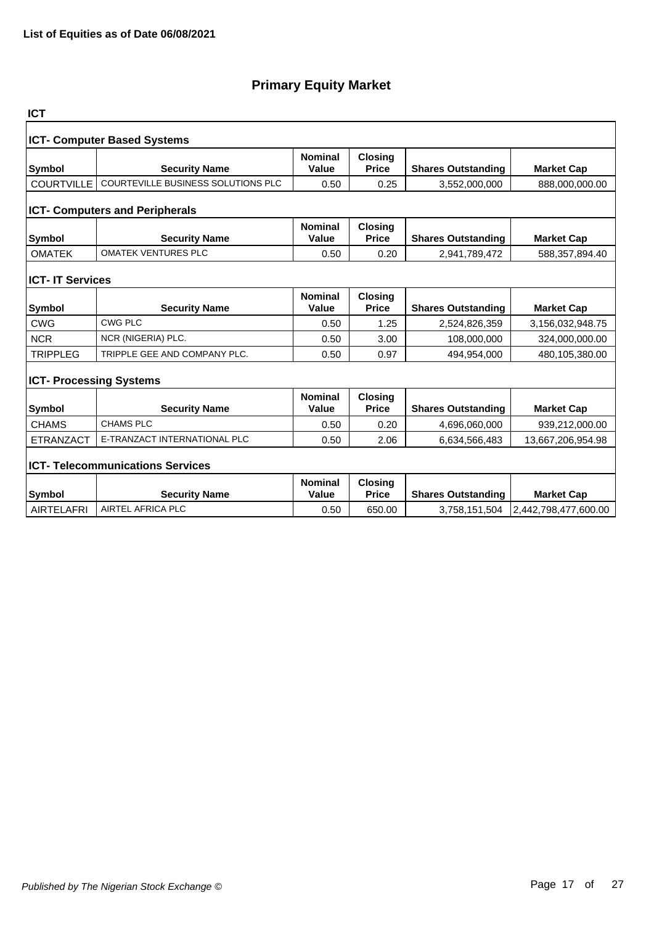| <b>ICT</b>                         |                                           |                         |                                |                           |                      |  |  |  |
|------------------------------------|-------------------------------------------|-------------------------|--------------------------------|---------------------------|----------------------|--|--|--|
| <b>ICT- Computer Based Systems</b> |                                           |                         |                                |                           |                      |  |  |  |
| <b>Symbol</b>                      | <b>Security Name</b>                      | <b>Nominal</b><br>Value | <b>Closing</b><br><b>Price</b> | <b>Shares Outstanding</b> | <b>Market Cap</b>    |  |  |  |
| <b>COURTVILLE</b>                  | <b>COURTEVILLE BUSINESS SOLUTIONS PLC</b> | 0.50                    | 0.25                           | 3,552,000,000             | 888,000,000.00       |  |  |  |
|                                    | <b>ICT- Computers and Peripherals</b>     |                         |                                |                           |                      |  |  |  |
| <b>Symbol</b>                      | <b>Security Name</b>                      | <b>Nominal</b><br>Value | <b>Closing</b><br><b>Price</b> | <b>Shares Outstanding</b> | <b>Market Cap</b>    |  |  |  |
| <b>OMATEK</b>                      | <b>OMATEK VENTURES PLC</b>                | 0.50                    | 0.20                           | 2,941,789,472             | 588,357,894.40       |  |  |  |
| <b>ICT- IT Services</b>            |                                           |                         |                                |                           |                      |  |  |  |
| <b>Symbol</b>                      | <b>Security Name</b>                      | <b>Nominal</b><br>Value | <b>Closing</b><br><b>Price</b> | <b>Shares Outstanding</b> | <b>Market Cap</b>    |  |  |  |
| <b>CWG</b>                         | <b>CWG PLC</b>                            | 0.50                    | 1.25                           | 2,524,826,359             | 3,156,032,948.75     |  |  |  |
| <b>NCR</b>                         | NCR (NIGERIA) PLC.                        | 0.50                    | 3.00                           | 108,000,000               | 324,000,000.00       |  |  |  |
| <b>TRIPPLEG</b>                    | TRIPPLE GEE AND COMPANY PLC.              | 0.50                    | 0.97                           | 494,954,000               | 480,105,380.00       |  |  |  |
| <b>ICT- Processing Systems</b>     |                                           |                         |                                |                           |                      |  |  |  |
| <b>Symbol</b>                      | <b>Security Name</b>                      | <b>Nominal</b><br>Value | <b>Closing</b><br><b>Price</b> | <b>Shares Outstanding</b> | <b>Market Cap</b>    |  |  |  |
| <b>CHAMS</b>                       | <b>CHAMS PLC</b>                          | 0.50                    | 0.20                           | 4,696,060,000             | 939,212,000.00       |  |  |  |
| <b>ETRANZACT</b>                   | E-TRANZACT INTERNATIONAL PLC              | 0.50                    | 2.06                           | 6,634,566,483             | 13,667,206,954.98    |  |  |  |
|                                    | <b>ICT- Telecommunications Services</b>   |                         |                                |                           |                      |  |  |  |
| <b>Symbol</b>                      | <b>Security Name</b>                      | <b>Nominal</b><br>Value | <b>Closing</b><br><b>Price</b> | <b>Shares Outstanding</b> | <b>Market Cap</b>    |  |  |  |
| <b>AIRTELAFRI</b>                  | AIRTEL AFRICA PLC                         | 0.50                    | 650.00                         | 3,758,151,504             | 2,442,798,477,600.00 |  |  |  |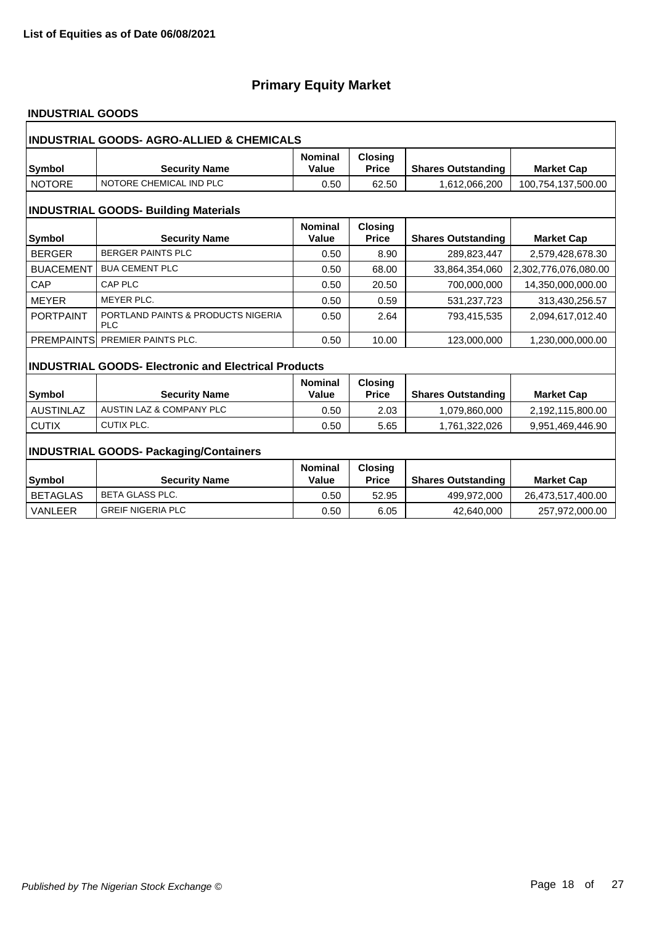### **INDUSTRIAL GOODS**

| INDUSTRIAL GOODS- AGRO-ALLIED & CHEMICALS   |                                                             |                         |                                |                           |                      |  |  |
|---------------------------------------------|-------------------------------------------------------------|-------------------------|--------------------------------|---------------------------|----------------------|--|--|
| Symbol                                      | <b>Security Name</b>                                        | <b>Nominal</b><br>Value | <b>Closing</b><br><b>Price</b> | <b>Shares Outstanding</b> | <b>Market Cap</b>    |  |  |
| <b>NOTORE</b>                               | NOTORE CHEMICAL IND PLC                                     | 0.50                    | 62.50                          | 1.612.066.200             | 100,754,137,500.00   |  |  |
| <b>INDUSTRIAL GOODS- Building Materials</b> |                                                             |                         |                                |                           |                      |  |  |
| Symbol                                      | <b>Security Name</b>                                        | <b>Nominal</b><br>Value | <b>Closing</b><br><b>Price</b> | <b>Shares Outstanding</b> | <b>Market Cap</b>    |  |  |
| <b>BERGER</b>                               | <b>BERGER PAINTS PLC</b>                                    | 0.50                    | 8.90                           | 289,823,447               | 2,579,428,678.30     |  |  |
| <b>BUACEMENT</b>                            | <b>BUA CEMENT PLC</b>                                       | 0.50                    | 68.00                          | 33,864,354,060            | 2,302,776,076,080.00 |  |  |
| CAP                                         | <b>CAP PLC</b>                                              | 0.50                    | 20.50                          | 700,000,000               | 14,350,000,000.00    |  |  |
| <b>MEYER</b>                                | MEYER PLC.                                                  | 0.50                    | 0.59                           | 531,237,723               | 313,430,256.57       |  |  |
| <b>PORTPAINT</b>                            | PORTLAND PAINTS & PRODUCTS NIGERIA<br><b>PLC</b>            | 0.50                    | 2.64                           | 793,415,535               | 2,094,617,012.40     |  |  |
|                                             | PREMPAINTS PREMIER PAINTS PLC.                              | 0.50                    | 10.00                          | 123,000,000               | 1,230,000,000.00     |  |  |
|                                             | <b>INDUSTRIAL GOODS- Electronic and Electrical Products</b> |                         |                                |                           |                      |  |  |
| Symbol                                      | <b>Security Name</b>                                        | <b>Nominal</b><br>Value | <b>Closing</b><br><b>Price</b> | <b>Shares Outstanding</b> | <b>Market Cap</b>    |  |  |
| <b>AUSTINLAZ</b>                            | <b>AUSTIN LAZ &amp; COMPANY PLC</b>                         | 0.50                    | 2.03                           | 1,079,860,000             | 2,192,115,800.00     |  |  |
| <b>CUTIX</b>                                | CUTIX PLC.                                                  | 0.50                    | 5.65                           | 1,761,322,026             | 9,951,469,446.90     |  |  |
|                                             | <b>INDUSTRIAL GOODS- Packaging/Containers</b>               |                         |                                |                           |                      |  |  |
|                                             |                                                             | <b>Nominal</b>          | <b>Closing</b>                 |                           |                      |  |  |
| <b>Symbol</b>                               | <b>Security Name</b>                                        | Value                   | <b>Price</b>                   | <b>Shares Outstanding</b> | <b>Market Cap</b>    |  |  |
| <b>BETAGLAS</b>                             | <b>BETA GLASS PLC.</b>                                      | 0.50                    | 52.95                          | 499,972,000               | 26,473,517,400.00    |  |  |
| <b>VANLEER</b>                              | <b>GREIF NIGERIA PLC</b>                                    | 0.50                    | 6.05                           | 42,640,000                | 257,972,000.00       |  |  |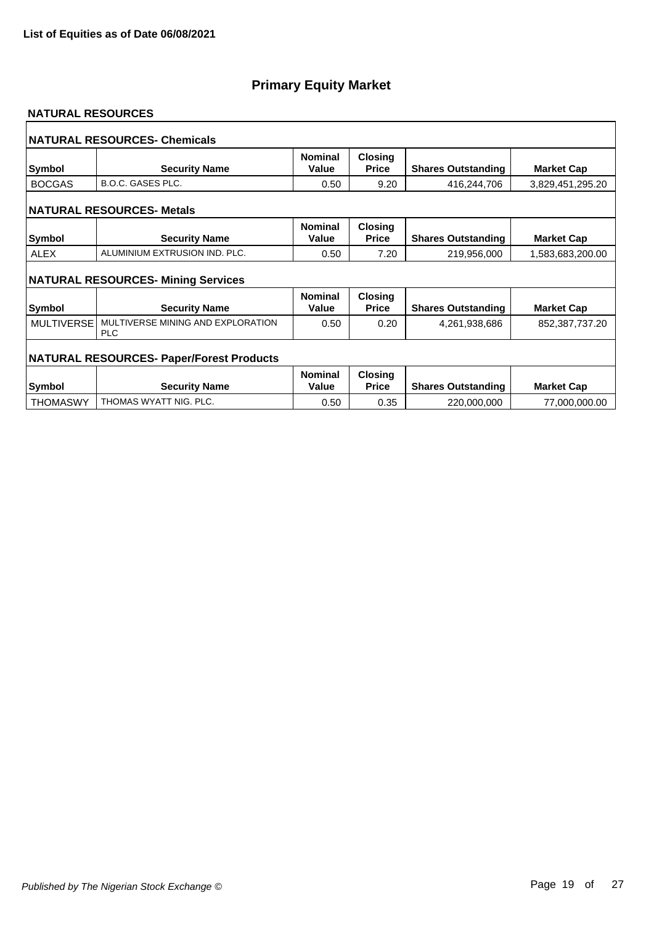#### **NATURAL RESOURCES**

|                   | <b>NATURAL RESOURCES- Chemicals</b>             |                         |                                |                           |                   |
|-------------------|-------------------------------------------------|-------------------------|--------------------------------|---------------------------|-------------------|
| <b>Symbol</b>     | <b>Security Name</b>                            | <b>Nominal</b><br>Value | <b>Closing</b><br><b>Price</b> | <b>Shares Outstanding</b> | <b>Market Cap</b> |
| <b>BOCGAS</b>     | <b>B.O.C. GASES PLC.</b>                        | 0.50                    | 9.20                           | 416,244,706               | 3,829,451,295.20  |
|                   | <b>NATURAL RESOURCES- Metals</b>                |                         |                                |                           |                   |
| <b>Symbol</b>     | <b>Security Name</b>                            | <b>Nominal</b><br>Value | Closing<br><b>Price</b>        | <b>Shares Outstanding</b> | <b>Market Cap</b> |
| <b>ALEX</b>       | ALUMINIUM EXTRUSION IND. PLC.                   | 0.50                    | 7.20                           | 219,956,000               | 1,583,683,200.00  |
|                   | <b>NATURAL RESOURCES- Mining Services</b>       |                         |                                |                           |                   |
| Symbol            | <b>Security Name</b>                            | <b>Nominal</b><br>Value | <b>Closing</b><br><b>Price</b> | <b>Shares Outstanding</b> | <b>Market Cap</b> |
| <b>MULTIVERSE</b> | MULTIVERSE MINING AND EXPLORATION<br><b>PLC</b> | 0.50                    | 0.20                           | 4,261,938,686             | 852,387,737.20    |
|                   | <b>NATURAL RESOURCES- Paper/Forest Products</b> |                         |                                |                           |                   |
| <b>Symbol</b>     | <b>Security Name</b>                            | <b>Nominal</b><br>Value | <b>Closing</b><br><b>Price</b> | <b>Shares Outstanding</b> | <b>Market Cap</b> |
| <b>THOMASWY</b>   | THOMAS WYATT NIG. PLC.                          | 0.50                    | 0.35                           | 220,000,000               | 77,000,000.00     |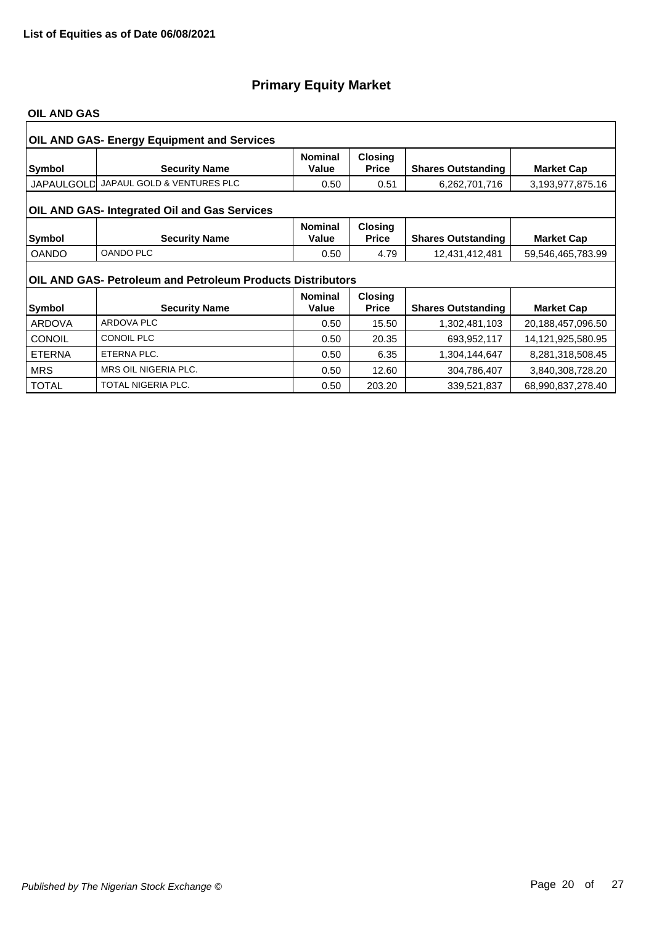#### **OIL AND GAS**

|               | <b>OIL AND GAS- Energy Equipment and Services</b>          |                         |                                |                           |                   |
|---------------|------------------------------------------------------------|-------------------------|--------------------------------|---------------------------|-------------------|
| Symbol        | <b>Security Name</b>                                       | <b>Nominal</b><br>Value | <b>Closing</b><br><b>Price</b> | <b>Shares Outstanding</b> | <b>Market Cap</b> |
| JAPAULGOLD    | JAPAUL GOLD & VENTURES PLC                                 | 0.50                    | 0.51                           | 6,262,701,716             | 3,193,977,875.16  |
|               | OIL AND GAS- Integrated Oil and Gas Services               |                         |                                |                           |                   |
| Symbol        | <b>Security Name</b>                                       | <b>Nominal</b><br>Value | <b>Closing</b><br><b>Price</b> | <b>Shares Outstanding</b> | <b>Market Cap</b> |
| <b>OANDO</b>  | <b>OANDO PLC</b>                                           | 0.50                    | 4.79                           | 12,431,412,481            | 59,546,465,783.99 |
|               | OIL AND GAS- Petroleum and Petroleum Products Distributors |                         |                                |                           |                   |
|               |                                                            | <b>Nominal</b>          | <b>Closing</b>                 |                           |                   |
| Symbol        | <b>Security Name</b>                                       | Value                   | <b>Price</b>                   | <b>Shares Outstanding</b> | <b>Market Cap</b> |
| <b>ARDOVA</b> | <b>ARDOVA PLC</b>                                          | 0.50                    | 15.50                          | 1,302,481,103             | 20,188,457,096.50 |
| <b>CONOIL</b> | <b>CONOIL PLC</b>                                          | 0.50                    | 20.35                          | 693,952,117               | 14,121,925,580.95 |
| <b>ETERNA</b> | ETERNA PLC.                                                | 0.50                    | 6.35                           | 1,304,144,647             | 8,281,318,508.45  |
| <b>MRS</b>    | MRS OIL NIGERIA PLC.                                       | 0.50                    | 12.60                          | 304,786,407               | 3,840,308,728.20  |
| <b>TOTAL</b>  | TOTAL NIGERIA PLC.                                         | 0.50                    | 203.20                         | 339,521,837               | 68,990,837,278.40 |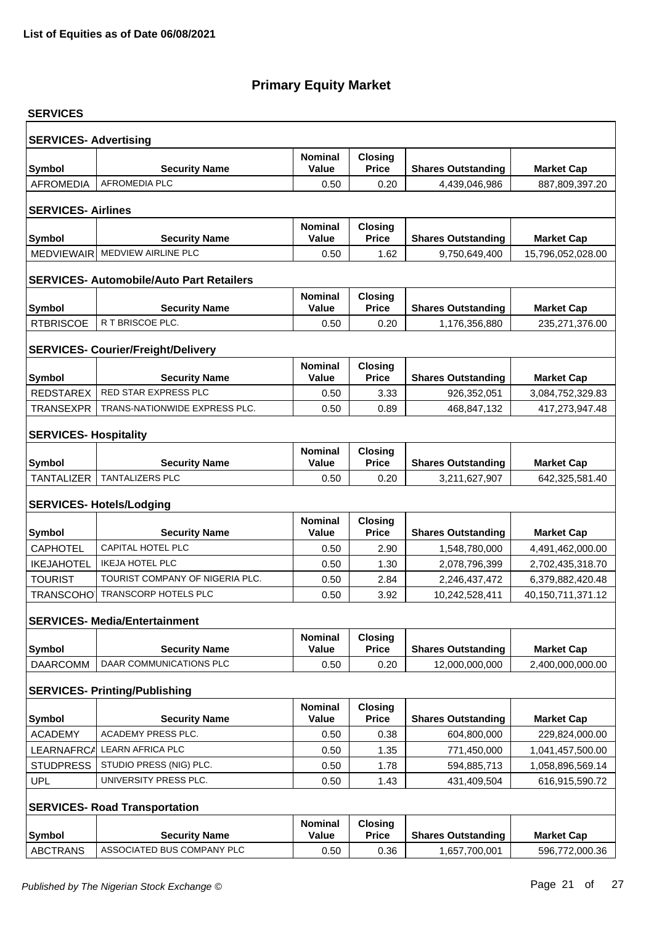| <b>SERVICES</b>                   |                                                 |                                |                                |                                            |                                     |  |  |  |  |
|-----------------------------------|-------------------------------------------------|--------------------------------|--------------------------------|--------------------------------------------|-------------------------------------|--|--|--|--|
| <b>SERVICES- Advertising</b>      |                                                 |                                |                                |                                            |                                     |  |  |  |  |
| Symbol                            | <b>Security Name</b>                            | <b>Nominal</b><br>Value        | Closing<br><b>Price</b>        | <b>Shares Outstanding</b>                  | <b>Market Cap</b>                   |  |  |  |  |
| <b>AFROMEDIA</b>                  | <b>AFROMEDIA PLC</b>                            | 0.50                           | 0.20                           | 4,439,046,986                              | 887,809,397.20                      |  |  |  |  |
|                                   |                                                 |                                |                                |                                            |                                     |  |  |  |  |
| <b>SERVICES-Airlines</b>          |                                                 |                                |                                |                                            |                                     |  |  |  |  |
| <b>Symbol</b>                     | <b>Security Name</b>                            | <b>Nominal</b><br>Value        | <b>Closing</b><br><b>Price</b> | <b>Shares Outstanding</b>                  | <b>Market Cap</b>                   |  |  |  |  |
| <b>MEDVIEWAIR</b>                 | MEDVIEW AIRLINE PLC                             | 0.50                           | 1.62                           | 9,750,649,400                              | 15,796,052,028.00                   |  |  |  |  |
|                                   |                                                 |                                |                                |                                            |                                     |  |  |  |  |
|                                   | <b>SERVICES- Automobile/Auto Part Retailers</b> |                                |                                |                                            |                                     |  |  |  |  |
|                                   |                                                 | <b>Nominal</b>                 | <b>Closing</b>                 |                                            |                                     |  |  |  |  |
| <b>Symbol</b><br><b>RTBRISCOE</b> | <b>Security Name</b><br>R T BRISCOE PLC.        | <b>Value</b><br>0.50           | <b>Price</b><br>0.20           | <b>Shares Outstanding</b><br>1,176,356,880 | <b>Market Cap</b><br>235,271,376.00 |  |  |  |  |
|                                   |                                                 |                                |                                |                                            |                                     |  |  |  |  |
|                                   | <b>SERVICES- Courier/Freight/Delivery</b>       |                                |                                |                                            |                                     |  |  |  |  |
|                                   |                                                 | <b>Nominal</b>                 | <b>Closing</b>                 |                                            |                                     |  |  |  |  |
| Symbol                            | <b>Security Name</b>                            | <b>Value</b>                   | <b>Price</b>                   | <b>Shares Outstanding</b>                  | <b>Market Cap</b>                   |  |  |  |  |
| REDSTAREX                         | RED STAR EXPRESS PLC                            | 0.50                           | 3.33                           | 926,352,051                                | 3,084,752,329.83                    |  |  |  |  |
| <b>TRANSEXPR</b>                  | TRANS-NATIONWIDE EXPRESS PLC.                   | 0.50                           | 0.89                           | 468,847,132                                | 417,273,947.48                      |  |  |  |  |
| <b>SERVICES- Hospitality</b>      |                                                 |                                |                                |                                            |                                     |  |  |  |  |
|                                   |                                                 | <b>Nominal</b>                 | <b>Closing</b>                 |                                            |                                     |  |  |  |  |
| Symbol                            | <b>Security Name</b>                            | <b>Value</b>                   | <b>Price</b>                   | <b>Shares Outstanding</b>                  | <b>Market Cap</b>                   |  |  |  |  |
| <b>TANTALIZER</b>                 | <b>TANTALIZERS PLC</b>                          | 0.50                           | 0.20                           | 3,211,627,907                              | 642,325,581.40                      |  |  |  |  |
|                                   | <b>SERVICES- Hotels/Lodging</b>                 |                                |                                |                                            |                                     |  |  |  |  |
|                                   |                                                 | <b>Nominal</b>                 | <b>Closing</b>                 |                                            |                                     |  |  |  |  |
| <b>Symbol</b>                     | <b>Security Name</b>                            | <b>Value</b>                   | <b>Price</b>                   | <b>Shares Outstanding</b>                  | <b>Market Cap</b>                   |  |  |  |  |
| <b>CAPHOTEL</b>                   | CAPITAL HOTEL PLC                               | 0.50                           | 2.90                           | 1,548,780,000                              | 4,491,462,000.00                    |  |  |  |  |
| <b>IKEJAHOTEL</b>                 | <b>IKEJA HOTEL PLC</b>                          | 0.50                           | 1.30                           | 2,078,796,399                              | 2,702,435,318.70                    |  |  |  |  |
| <b>TOURIST</b>                    | TOURIST COMPANY OF NIGERIA PLC.                 | 0.50                           | 2.84                           | 2,246,437,472                              | 6,379,882,420.48                    |  |  |  |  |
| <b>TRANSCOHO</b>                  | <b>TRANSCORP HOTELS PLC</b>                     | 0.50                           | 3.92                           | 10,242,528,411                             | 40,150,711,371.12                   |  |  |  |  |
|                                   | <b>SERVICES- Media/Entertainment</b>            |                                |                                |                                            |                                     |  |  |  |  |
|                                   |                                                 | <b>Nominal</b>                 | <b>Closing</b>                 |                                            |                                     |  |  |  |  |
| Symbol                            | <b>Security Name</b>                            | <b>Value</b>                   | <b>Price</b>                   | <b>Shares Outstanding</b>                  | <b>Market Cap</b>                   |  |  |  |  |
| <b>DAARCOMM</b>                   | DAAR COMMUNICATIONS PLC                         | 0.50                           | 0.20                           | 12,000,000,000                             | 2,400,000,000.00                    |  |  |  |  |
|                                   |                                                 |                                |                                |                                            |                                     |  |  |  |  |
|                                   | <b>SERVICES- Printing/Publishing</b>            | <b>Nominal</b>                 |                                |                                            |                                     |  |  |  |  |
| <b>Symbol</b>                     | <b>Security Name</b>                            | Value                          | <b>Closing</b><br><b>Price</b> | <b>Shares Outstanding</b>                  | <b>Market Cap</b>                   |  |  |  |  |
| <b>ACADEMY</b>                    | <b>ACADEMY PRESS PLC.</b>                       | 0.50                           | 0.38                           | 604,800,000                                | 229,824,000.00                      |  |  |  |  |
| LEARNAFRCA                        | <b>LEARN AFRICA PLC</b>                         | 0.50                           | 1.35                           | 771,450,000                                | 1,041,457,500.00                    |  |  |  |  |
| <b>STUDPRESS</b>                  | STUDIO PRESS (NIG) PLC.                         | 0.50                           | 1.78                           | 594,885,713                                | 1,058,896,569.14                    |  |  |  |  |
| <b>UPL</b>                        | UNIVERSITY PRESS PLC.                           | 0.50                           | 1.43                           | 431,409,504                                | 616,915,590.72                      |  |  |  |  |
|                                   |                                                 |                                |                                |                                            |                                     |  |  |  |  |
|                                   | <b>SERVICES- Road Transportation</b>            |                                |                                |                                            |                                     |  |  |  |  |
| Symbol                            | <b>Security Name</b>                            | <b>Nominal</b><br><b>Value</b> | <b>Closing</b><br><b>Price</b> | <b>Shares Outstanding</b>                  | <b>Market Cap</b>                   |  |  |  |  |
| <b>ABCTRANS</b>                   | ASSOCIATED BUS COMPANY PLC                      | 0.50                           | 0.36                           | 1,657,700,001                              | 596,772,000.36                      |  |  |  |  |
|                                   |                                                 |                                |                                |                                            |                                     |  |  |  |  |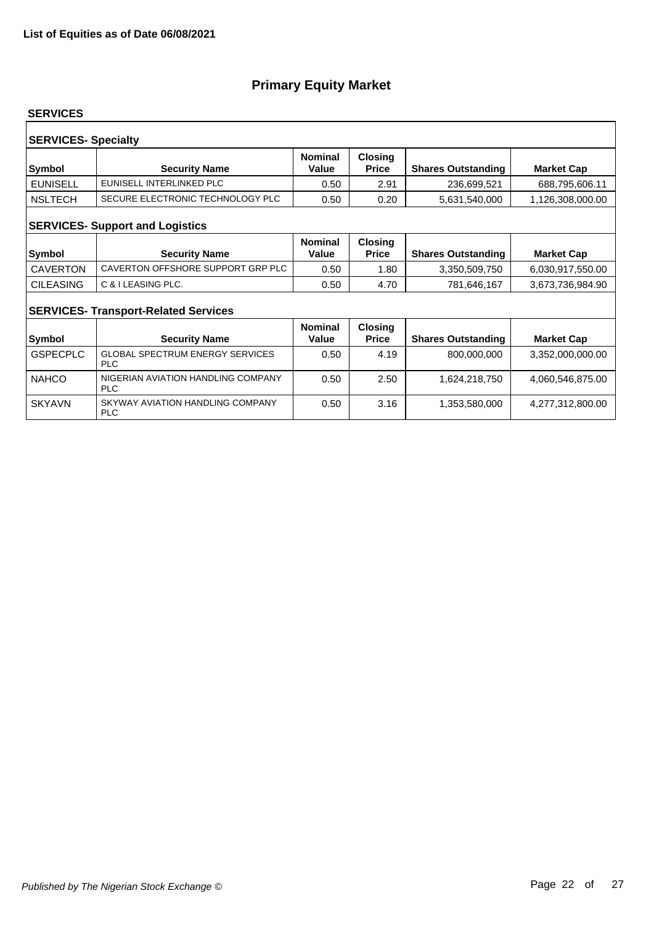#### **SERVICES**

| <b>SERVICES- Specialty</b><br><b>Nominal</b><br><b>Closing</b> |                                  |       |              |                           |                   |  |  |
|----------------------------------------------------------------|----------------------------------|-------|--------------|---------------------------|-------------------|--|--|
| Symbol                                                         | <b>Security Name</b>             | Value | <b>Price</b> | <b>Shares Outstanding</b> | <b>Market Cap</b> |  |  |
| <b>EUNISELL</b>                                                | EUNISELL INTERLINKED PLC         | 0.50  | 2.91         | 236,699,521               | 688,795,606.11    |  |  |
| <b>NSLTECH</b>                                                 | SECURE ELECTRONIC TECHNOLOGY PLC | 0.50  | 0.20         | 5,631,540,000             | 1,126,308,000.00  |  |  |
| <b>SERVICES- Support and Logistics</b>                         |                                  |       |              |                           |                   |  |  |

| Symbol           | <b>Security Name</b>              | <b>Nominal</b><br>Value | <b>Closing</b><br>Price | <b>Shares Outstanding</b> | <b>Market Cap</b> |
|------------------|-----------------------------------|-------------------------|-------------------------|---------------------------|-------------------|
| CAVERTON         | CAVERTON OFFSHORE SUPPORT GRP PLC | 0.50                    | .80                     | 3.350.509.750             | 6,030,917,550.00  |
| <b>CILEASING</b> | C & I LEASING PLC.                | 0.50                    | 4.70                    | 781,646,167               | 3,673,736,984.90  |

### **SERVICES- Transport-Related Services**

| <b>Symbol</b>   | <b>Security Name</b>                                 | <b>Nominal</b><br>Value | <b>Closing</b><br><b>Price</b> | <b>Shares Outstanding</b> | <b>Market Cap</b> |
|-----------------|------------------------------------------------------|-------------------------|--------------------------------|---------------------------|-------------------|
| <b>GSPECPLC</b> | <b>GLOBAL SPECTRUM ENERGY SERVICES</b><br><b>PLC</b> | 0.50                    | 4.19                           | 800,000,000               | 3,352,000,000.00  |
| <b>NAHCO</b>    | NIGERIAN AVIATION HANDLING COMPANY<br><b>PLC</b>     | 0.50                    | 2.50                           | 1,624,218,750             | 4,060,546,875.00  |
| <b>SKYAVN</b>   | SKYWAY AVIATION HANDLING COMPANY<br><b>PLC</b>       | 0.50                    | 3.16                           | 1,353,580,000             | 4,277,312,800.00  |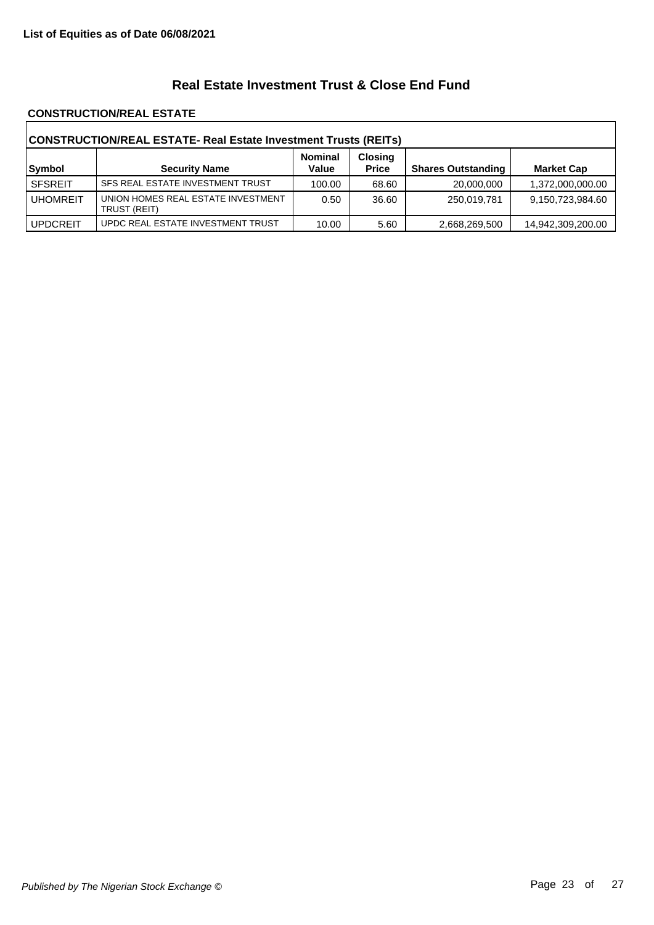### **Real Estate Investment Trust & Close End Fund**

#### **CONSTRUCTION/REAL ESTATE**

| CONSTRUCTION/REAL ESTATE- Real Estate Investment Trusts (REITs) |                                                    |                         |                                |                           |                   |  |
|-----------------------------------------------------------------|----------------------------------------------------|-------------------------|--------------------------------|---------------------------|-------------------|--|
| Symbol                                                          | <b>Security Name</b>                               | <b>Nominal</b><br>Value | <b>Closing</b><br><b>Price</b> | <b>Shares Outstanding</b> | <b>Market Cap</b> |  |
| <b>SFSREIT</b>                                                  | SFS REAL ESTATE INVESTMENT TRUST                   | 100.00                  | 68.60                          | 20,000,000                | 1,372,000,000.00  |  |
| <b>UHOMREIT</b>                                                 | UNION HOMES REAL ESTATE INVESTMENT<br>TRUST (REIT) | 0.50                    | 36.60                          | 250,019,781               | 9,150,723,984.60  |  |
| <b>UPDCREIT</b>                                                 | UPDC REAL ESTATE INVESTMENT TRUST                  | 10.00                   | 5.60                           | 2,668,269,500             | 14,942,309,200.00 |  |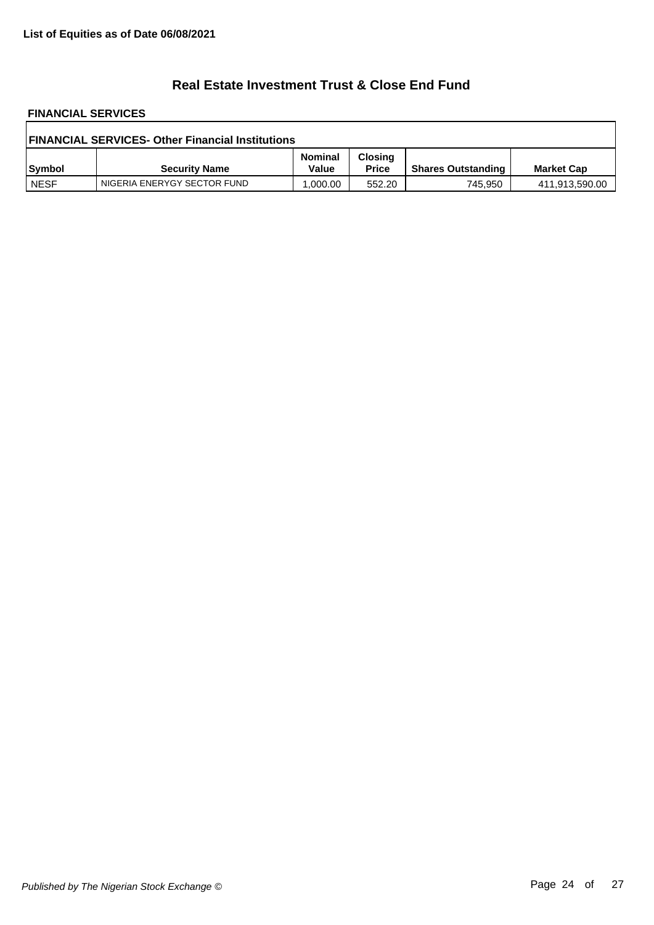### **Real Estate Investment Trust & Close End Fund**

# **FINANCIAL SERVICES**

| <b>FINANCIAL SERVICES- Other Financial Institutions</b> |                             |                         |                                |                           |                   |  |
|---------------------------------------------------------|-----------------------------|-------------------------|--------------------------------|---------------------------|-------------------|--|
| Symbol                                                  | <b>Security Name</b>        | <b>Nominal</b><br>Value | <b>Closing</b><br><b>Price</b> | <b>Shares Outstanding</b> | <b>Market Cap</b> |  |
| <b>NESF</b>                                             | NIGERIA ENERYGY SECTOR FUND | .000.00                 | 552.20                         | 745,950                   | 411,913,590.00    |  |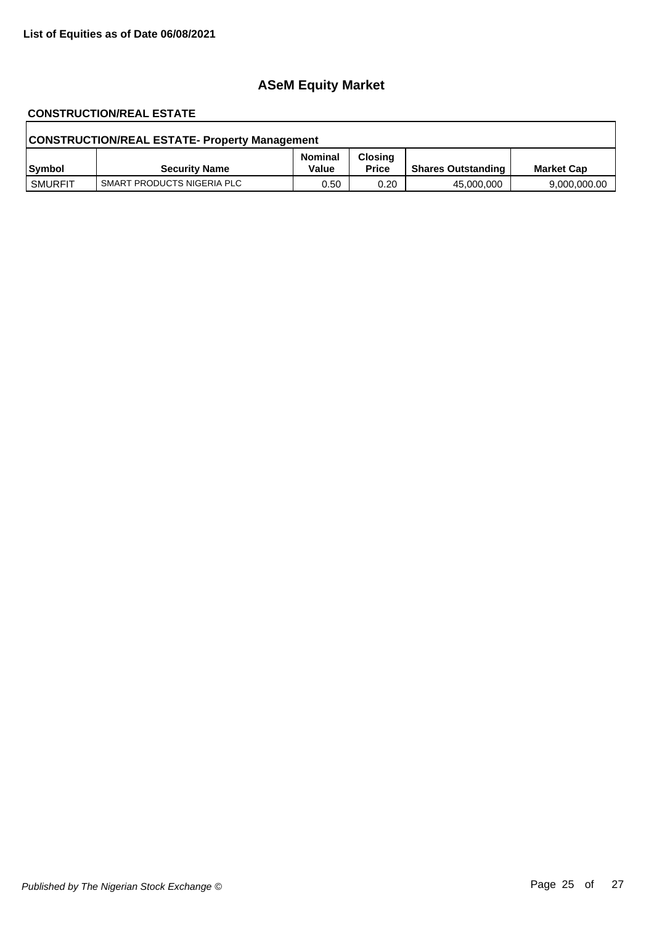## **ASeM Equity Market**

# **CONSTRUCTION/REAL ESTATE**

| <b>CONSTRUCTION/REAL ESTATE- Property Management</b> |                            |                         |                                |                           |                   |  |
|------------------------------------------------------|----------------------------|-------------------------|--------------------------------|---------------------------|-------------------|--|
| Symbol                                               | <b>Security Name</b>       | <b>Nominal</b><br>Value | <b>Closing</b><br><b>Price</b> | <b>Shares Outstanding</b> | <b>Market Cap</b> |  |
| SMURFIT                                              | SMART PRODUCTS NIGERIA PLC | 0.50                    | 0.20                           | 45,000,000                | 9,000,000.00      |  |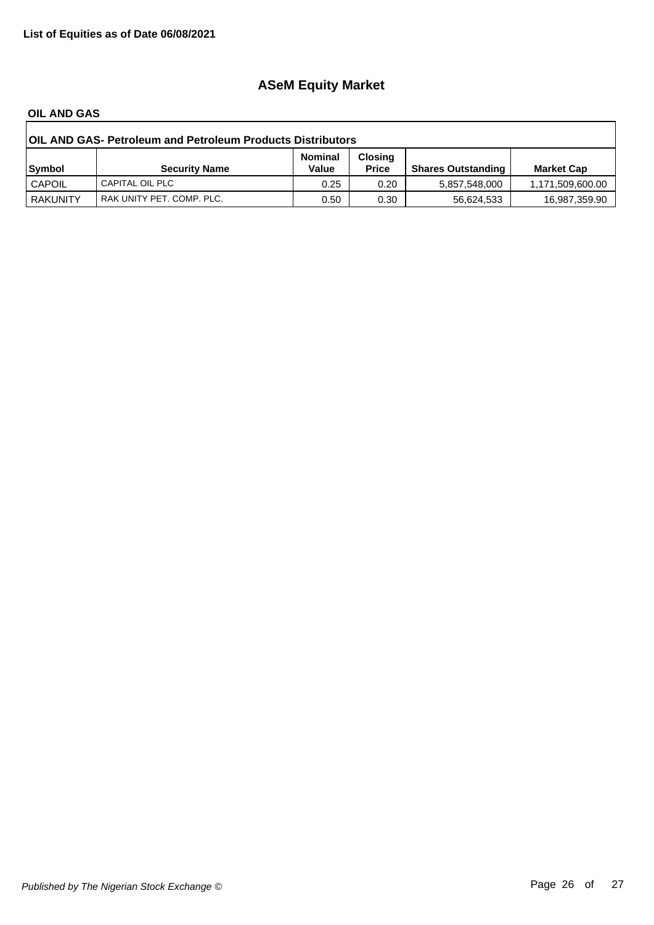## **ASeM Equity Market**

#### **OIL AND GAS**

| <b>OIL AND GAS- Petroleum and Petroleum Products Distributors</b> |                           |                         |                                |                           |                   |  |
|-------------------------------------------------------------------|---------------------------|-------------------------|--------------------------------|---------------------------|-------------------|--|
| Symbol                                                            | <b>Security Name</b>      | <b>Nominal</b><br>Value | <b>Closing</b><br><b>Price</b> | <b>Shares Outstanding</b> | <b>Market Cap</b> |  |
| <b>CAPOIL</b>                                                     | CAPITAL OIL PLC           | 0.25                    | 0.20                           | 5,857,548,000             | 1,171,509,600.00  |  |
| <b>RAKUNITY</b>                                                   | RAK UNITY PET. COMP. PLC. | 0.50                    | 0.30                           | 56,624,533                | 16,987,359.90     |  |